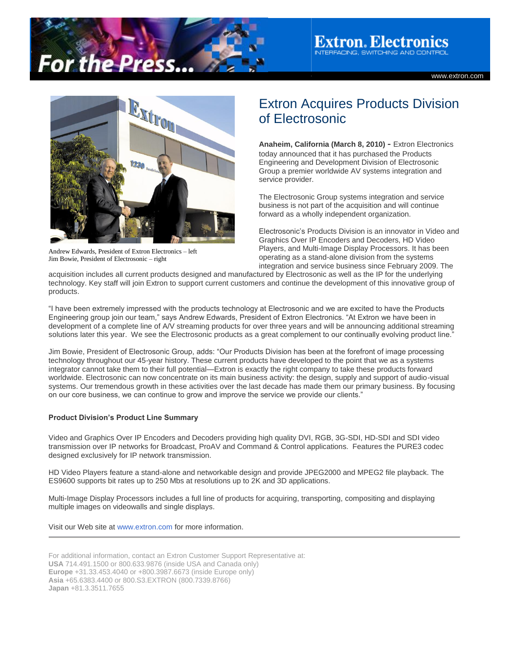

**Extron. Electronics TERFACING, SWITCHING AND CONTROL** 

www.extron.com



Andrew Edwards, President of Extron Electronics – left Jim Bowie, President of Electrosonic – right

## Extron Acquires Products Division of Electrosonic

**Anaheim, California (March 8, 2010)** - Extron Electronics today announced that it has purchased the Products Engineering and Development Division of Electrosonic Group a premier worldwide AV systems integration and service provider.

The Electrosonic Group systems integration and service business is not part of the acquisition and will continue forward as a wholly independent organization.

Electrosonic's Products Division is an innovator in Video and Graphics Over IP Encoders and Decoders, HD Video Players, and Multi-Image Display Processors. It has been operating as a stand-alone division from the systems integration and service business since February 2009. The

acquisition includes all current products designed and manufactured by Electrosonic as well as the IP for the underlying technology. Key staff will join Extron to support current customers and continue the development of this innovative group of products.

"I have been extremely impressed with the products technology at Electrosonic and we are excited to have the Products Engineering group join our team," says Andrew Edwards, President of Extron Electronics. "At Extron we have been in development of a complete line of A/V streaming products for over three years and will be announcing additional streaming solutions later this year. We see the Electrosonic products as a great complement to our continually evolving product line."

Jim Bowie, President of Electrosonic Group, adds: "Our Products Division has been at the forefront of image processing technology throughout our 45-year history. These current products have developed to the point that we as a systems integrator cannot take them to their full potential—Extron is exactly the right company to take these products forward worldwide. Electrosonic can now concentrate on its main business activity: the design, supply and support of audio-visual systems. Our tremendous growth in these activities over the last decade has made them our primary business. By focusing on our core business, we can continue to grow and improve the service we provide our clients."

## **Product Division's Product Line Summary**

Video and Graphics Over IP Encoders and Decoders providing high quality DVI, RGB, 3G-SDI, HD-SDI and SDI video transmission over IP networks for Broadcast, ProAV and Command & Control applications. Features the PURE3 codec designed exclusively for IP network transmission.

HD Video Players feature a stand-alone and networkable design and provide JPEG2000 and MPEG2 file playback. The ES9600 supports bit rates up to 250 Mbs at resolutions up to 2K and 3D applications.

Multi-Image Display Processors includes a full line of products for acquiring, transporting, compositing and displaying multiple images on videowalls and single displays.

## Visit our Web site at [www.extron.com](http://www.extron.com/) for more information.

For additional information, contact an Extron Customer Support Representative at: **USA** 714.491.1500 or 800.633.9876 (inside USA and Canada only) **Europe** +31.33.453.4040 or +800.3987.6673 (inside Europe only) **Asia** +65.6383.4400 or 800.S3.EXTRON (800.7339.8766) **Japan** +81.3.3511.7655